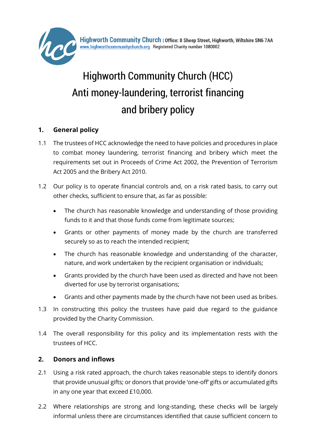

# Highworth Community Church (HCC) Anti money-laundering, terrorist financing and bribery policy

# **1. General policy**

- 1.1 The trustees of HCC acknowledge the need to have policies and procedures in place to combat money laundering, terrorist financing and bribery which meet the requirements set out in Proceeds of Crime Act 2002, the Prevention of Terrorism Act 2005 and the Bribery Act 2010.
- 1.2 Our policy is to operate financial controls and, on a risk rated basis, to carry out other checks, sufficient to ensure that, as far as possible:
	- The church has reasonable knowledge and understanding of those providing funds to it and that those funds come from legitimate sources;
	- Grants or other payments of money made by the church are transferred securely so as to reach the intended recipient;
	- The church has reasonable knowledge and understanding of the character, nature, and work undertaken by the recipient organisation or individuals;
	- Grants provided by the church have been used as directed and have not been diverted for use by terrorist organisations;
	- Grants and other payments made by the church have not been used as bribes.
- 1.3 In constructing this policy the trustees have paid due regard to the guidance provided by the Charity Commission.
- 1.4 The overall responsibility for this policy and its implementation rests with the trustees of HCC.

# **2. Donors and inflows**

- 2.1 Using a risk rated approach, the church takes reasonable steps to identify donors that provide unusual gifts; or donors that provide 'one-off' gifts or accumulated gifts in any one year that exceed £10,000.
- 2.2 Where relationships are strong and long-standing, these checks will be largely informal unless there are circumstances identified that cause sufficient concern to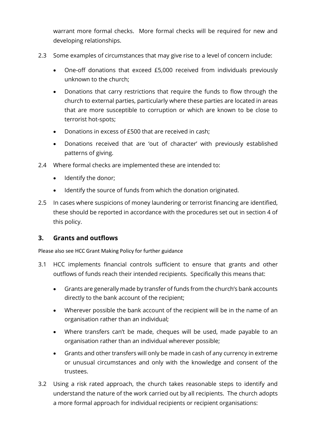warrant more formal checks. More formal checks will be required for new and developing relationships.

- 2.3 Some examples of circumstances that may give rise to a level of concern include:
	- One-off donations that exceed £5,000 received from individuals previously unknown to the church;
	- Donations that carry restrictions that require the funds to flow through the church to external parties, particularly where these parties are located in areas that are more susceptible to corruption or which are known to be close to terrorist hot-spots;
	- Donations in excess of £500 that are received in cash;
	- Donations received that are 'out of character' with previously established patterns of giving.
- 2.4 Where formal checks are implemented these are intended to:
	- Identify the donor;
	- Identify the source of funds from which the donation originated.
- 2.5 In cases where suspicions of money laundering or terrorist financing are identified, these should be reported in accordance with the procedures set out in section 4 of this policy.

#### **3. Grants and outflows**

Please also see HCC Grant Making Policy for further guidance

- 3.1 HCC implements financial controls sufficient to ensure that grants and other outflows of funds reach their intended recipients. Specifically this means that:
	- Grants are generally made by transfer of funds from the church's bank accounts directly to the bank account of the recipient;
	- Wherever possible the bank account of the recipient will be in the name of an organisation rather than an individual;
	- Where transfers can't be made, cheques will be used, made payable to an organisation rather than an individual wherever possible;
	- Grants and other transfers will only be made in cash of any currency in extreme or unusual circumstances and only with the knowledge and consent of the trustees.
- 3.2 Using a risk rated approach, the church takes reasonable steps to identify and understand the nature of the work carried out by all recipients. The church adopts a more formal approach for individual recipients or recipient organisations: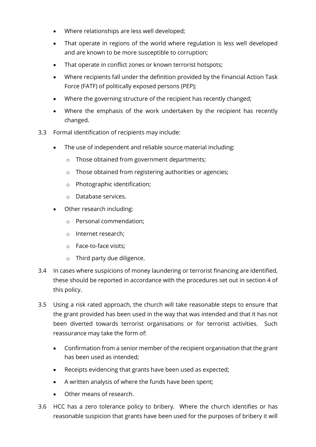- Where relationships are less well developed;
- That operate in regions of the world where regulation is less well developed and are known to be more susceptible to corruption;
- That operate in conflict zones or known terrorist hotspots;
- Where recipients fall under the definition provided by the Financial Action Task Force (FATF) of politically exposed persons (PEP);
- Where the governing structure of the recipient has recently changed;
- Where the emphasis of the work undertaken by the recipient has recently changed.
- 3.3 Formal identification of recipients may include:
	- The use of independent and reliable source material including:
		- o Those obtained from government departments;
		- o Those obtained from registering authorities or agencies;
		- o Photographic identification;
		- o Database services.
	- Other research including:
		- o Personal commendation;
		- o Internet research;
		- o Face-to-face visits;
		- o Third party due diligence.
- 3.4 In cases where suspicions of money laundering or terrorist financing are identified, these should be reported in accordance with the procedures set out in section 4 of this policy.
- 3.5 Using a risk rated approach, the church will take reasonable steps to ensure that the grant provided has been used in the way that was intended and that it has not been diverted towards terrorist organisations or for terrorist activities. Such reassurance may take the form of:
	- Confirmation from a senior member of the recipient organisation that the grant has been used as intended;
	- Receipts evidencing that grants have been used as expected;
	- A written analysis of where the funds have been spent;
	- Other means of research.
- 3.6 HCC has a zero tolerance policy to bribery. Where the church identifies or has reasonable suspicion that grants have been used for the purposes of bribery it will